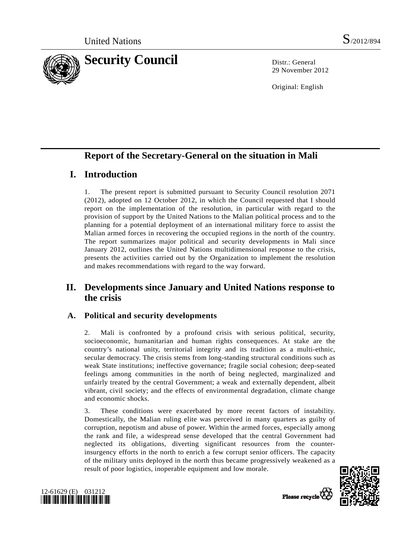

29 November 2012

Original: English

# **Report of the Secretary-General on the situation in Mali**

# **I. Introduction**

1. The present report is submitted pursuant to Security Council resolution 2071 (2012), adopted on 12 October 2012, in which the Council requested that I should report on the implementation of the resolution, in particular with regard to the provision of support by the United Nations to the Malian political process and to the planning for a potential deployment of an international military force to assist the Malian armed forces in recovering the occupied regions in the north of the country. The report summarizes major political and security developments in Mali since January 2012, outlines the United Nations multidimensional response to the crisis, presents the activities carried out by the Organization to implement the resolution and makes recommendations with regard to the way forward.

# **II. Developments since January and United Nations response to the crisis**

## **A. Political and security developments**

2. Mali is confronted by a profound crisis with serious political, security, socioeconomic, humanitarian and human rights consequences. At stake are the country's national unity, territorial integrity and its tradition as a multi-ethnic, secular democracy. The crisis stems from long-standing structural conditions such as weak State institutions; ineffective governance; fragile social cohesion; deep-seated feelings among communities in the north of being neglected, marginalized and unfairly treated by the central Government; a weak and externally dependent, albeit vibrant, civil society; and the effects of environmental degradation, climate change and economic shocks.

3. These conditions were exacerbated by more recent factors of instability. Domestically, the Malian ruling elite was perceived in many quarters as guilty of corruption, nepotism and abuse of power. Within the armed forces, especially among the rank and file, a widespread sense developed that the central Government had neglected its obligations, diverting significant resources from the counterinsurgency efforts in the north to enrich a few corrupt senior officers. The capacity of the military units deployed in the north thus became progressively weakened as a result of poor logistics, inoperable equipment and low morale.



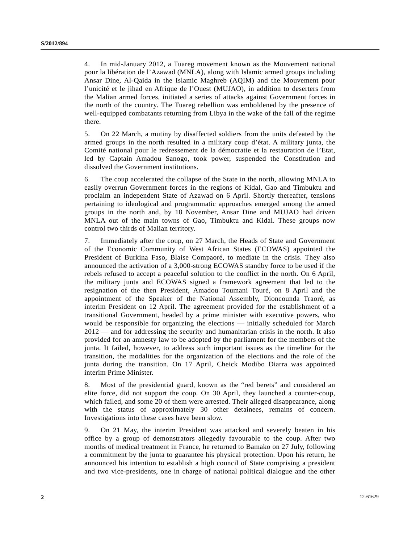4. In mid-January 2012, a Tuareg movement known as the Mouvement national pour la libération de l'Azawad (MNLA), along with Islamic armed groups including Ansar Dine, Al-Qaida in the Islamic Maghreb (AQIM) and the Mouvement pour l'unicité et le jihad en Afrique de l'Ouest (MUJAO), in addition to deserters from the Malian armed forces, initiated a series of attacks against Government forces in the north of the country. The Tuareg rebellion was emboldened by the presence of well-equipped combatants returning from Libya in the wake of the fall of the regime there.

5. On 22 March, a mutiny by disaffected soldiers from the units defeated by the armed groups in the north resulted in a military coup d'état. A military junta, the Comité national pour le redressement de la démocratie et la restauration de l'Etat, led by Captain Amadou Sanogo, took power, suspended the Constitution and dissolved the Government institutions.

6. The coup accelerated the collapse of the State in the north, allowing MNLA to easily overrun Government forces in the regions of Kidal, Gao and Timbuktu and proclaim an independent State of Azawad on 6 April. Shortly thereafter, tensions pertaining to ideological and programmatic approaches emerged among the armed groups in the north and, by 18 November, Ansar Dine and MUJAO had driven MNLA out of the main towns of Gao, Timbuktu and Kidal. These groups now control two thirds of Malian territory.

7. Immediately after the coup, on 27 March, the Heads of State and Government of the Economic Community of West African States (ECOWAS) appointed the President of Burkina Faso, Blaise Compaoré, to mediate in the crisis. They also announced the activation of a 3,000-strong ECOWAS standby force to be used if the rebels refused to accept a peaceful solution to the conflict in the north. On 6 April, the military junta and ECOWAS signed a framework agreement that led to the resignation of the then President, Amadou Toumani Touré, on 8 April and the appointment of the Speaker of the National Assembly, Dioncounda Traoré, as interim President on 12 April. The agreement provided for the establishment of a transitional Government, headed by a prime minister with executive powers, who would be responsible for organizing the elections — initially scheduled for March 2012 — and for addressing the security and humanitarian crisis in the north. It also provided for an amnesty law to be adopted by the parliament for the members of the junta. It failed, however, to address such important issues as the timeline for the transition, the modalities for the organization of the elections and the role of the junta during the transition. On 17 April, Cheick Modibo Diarra was appointed interim Prime Minister.

8. Most of the presidential guard, known as the "red berets" and considered an elite force, did not support the coup. On 30 April, they launched a counter-coup, which failed, and some 20 of them were arrested. Their alleged disappearance, along with the status of approximately 30 other detainees, remains of concern. Investigations into these cases have been slow.

9. On 21 May, the interim President was attacked and severely beaten in his office by a group of demonstrators allegedly favourable to the coup. After two months of medical treatment in France, he returned to Bamako on 27 July, following a commitment by the junta to guarantee his physical protection. Upon his return, he announced his intention to establish a high council of State comprising a president and two vice-presidents, one in charge of national political dialogue and the other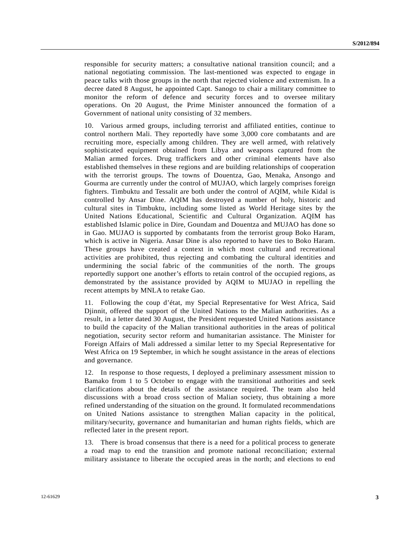responsible for security matters; a consultative national transition council; and a national negotiating commission. The last-mentioned was expected to engage in peace talks with those groups in the north that rejected violence and extremism. In a decree dated 8 August, he appointed Capt. Sanogo to chair a military committee to monitor the reform of defence and security forces and to oversee military operations. On 20 August, the Prime Minister announced the formation of a Government of national unity consisting of 32 members.

10. Various armed groups, including terrorist and affiliated entities, continue to control northern Mali. They reportedly have some 3,000 core combatants and are recruiting more, especially among children. They are well armed, with relatively sophisticated equipment obtained from Libya and weapons captured from the Malian armed forces. Drug traffickers and other criminal elements have also established themselves in these regions and are building relationships of cooperation with the terrorist groups. The towns of Douentza, Gao, Menaka, Ansongo and Gourma are currently under the control of MUJAO, which largely comprises foreign fighters. Timbuktu and Tessalit are both under the control of AQIM, while Kidal is controlled by Ansar Dine. AQIM has destroyed a number of holy, historic and cultural sites in Timbuktu, including some listed as World Heritage sites by the United Nations Educational, Scientific and Cultural Organization. AQIM has established Islamic police in Dire, Goundam and Douentza and MUJAO has done so in Gao. MUJAO is supported by combatants from the terrorist group Boko Haram, which is active in Nigeria. Ansar Dine is also reported to have ties to Boko Haram. These groups have created a context in which most cultural and recreational activities are prohibited, thus rejecting and combating the cultural identities and undermining the social fabric of the communities of the north. The groups reportedly support one another's efforts to retain control of the occupied regions, as demonstrated by the assistance provided by AQIM to MUJAO in repelling the recent attempts by MNLA to retake Gao.

11. Following the coup d'état, my Special Representative for West Africa, Said Djinnit, offered the support of the United Nations to the Malian authorities. As a result, in a letter dated 30 August, the President requested United Nations assistance to build the capacity of the Malian transitional authorities in the areas of political negotiation, security sector reform and humanitarian assistance. The Minister for Foreign Affairs of Mali addressed a similar letter to my Special Representative for West Africa on 19 September, in which he sought assistance in the areas of elections and governance.

12. In response to those requests, I deployed a preliminary assessment mission to Bamako from 1 to 5 October to engage with the transitional authorities and seek clarifications about the details of the assistance required. The team also held discussions with a broad cross section of Malian society, thus obtaining a more refined understanding of the situation on the ground. It formulated recommendations on United Nations assistance to strengthen Malian capacity in the political, military/security, governance and humanitarian and human rights fields, which are reflected later in the present report.

13. There is broad consensus that there is a need for a political process to generate a road map to end the transition and promote national reconciliation; external military assistance to liberate the occupied areas in the north; and elections to end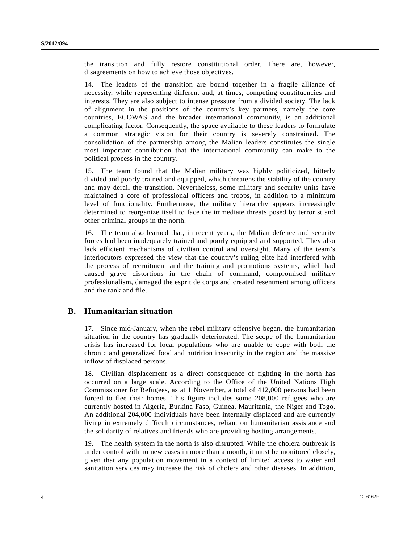the transition and fully restore constitutional order. There are, however, disagreements on how to achieve those objectives.

14. The leaders of the transition are bound together in a fragile alliance of necessity, while representing different and, at times, competing constituencies and interests. They are also subject to intense pressure from a divided society. The lack of alignment in the positions of the country's key partners, namely the core countries, ECOWAS and the broader international community, is an additional complicating factor. Consequently, the space available to these leaders to formulate a common strategic vision for their country is severely constrained. The consolidation of the partnership among the Malian leaders constitutes the single most important contribution that the international community can make to the political process in the country.

15. The team found that the Malian military was highly politicized, bitterly divided and poorly trained and equipped, which threatens the stability of the country and may derail the transition. Nevertheless, some military and security units have maintained a core of professional officers and troops, in addition to a minimum level of functionality. Furthermore, the military hierarchy appears increasingly determined to reorganize itself to face the immediate threats posed by terrorist and other criminal groups in the north.

16. The team also learned that, in recent years, the Malian defence and security forces had been inadequately trained and poorly equipped and supported. They also lack efficient mechanisms of civilian control and oversight. Many of the team's interlocutors expressed the view that the country's ruling elite had interfered with the process of recruitment and the training and promotions systems, which had caused grave distortions in the chain of command, compromised military professionalism, damaged the esprit de corps and created resentment among officers and the rank and file.

## **B. Humanitarian situation**

17. Since mid-January, when the rebel military offensive began, the humanitarian situation in the country has gradually deteriorated. The scope of the humanitarian crisis has increased for local populations who are unable to cope with both the chronic and generalized food and nutrition insecurity in the region and the massive inflow of displaced persons.

18. Civilian displacement as a direct consequence of fighting in the north has occurred on a large scale. According to the Office of the United Nations High Commissioner for Refugees, as at 1 November, a total of 412,000 persons had been forced to flee their homes. This figure includes some 208,000 refugees who are currently hosted in Algeria, Burkina Faso, Guinea, Mauritania, the Niger and Togo. An additional 204,000 individuals have been internally displaced and are currently living in extremely difficult circumstances, reliant on humanitarian assistance and the solidarity of relatives and friends who are providing hosting arrangements.

19. The health system in the north is also disrupted. While the cholera outbreak is under control with no new cases in more than a month, it must be monitored closely, given that any population movement in a context of limited access to water and sanitation services may increase the risk of cholera and other diseases. In addition,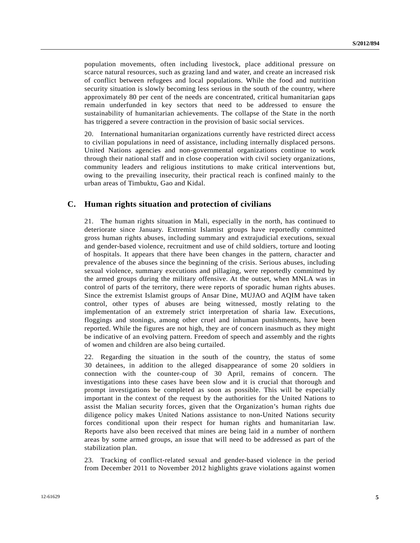population movements, often including livestock, place additional pressure on scarce natural resources, such as grazing land and water, and create an increased risk of conflict between refugees and local populations. While the food and nutrition security situation is slowly becoming less serious in the south of the country, where approximately 80 per cent of the needs are concentrated, critical humanitarian gaps remain underfunded in key sectors that need to be addressed to ensure the sustainability of humanitarian achievements. The collapse of the State in the north has triggered a severe contraction in the provision of basic social services.

20. International humanitarian organizations currently have restricted direct access to civilian populations in need of assistance, including internally displaced persons. United Nations agencies and non-governmental organizations continue to work through their national staff and in close cooperation with civil society organizations, community leaders and religious institutions to make critical interventions but, owing to the prevailing insecurity, their practical reach is confined mainly to the urban areas of Timbuktu, Gao and Kidal.

### **C. Human rights situation and protection of civilians**

21. The human rights situation in Mali, especially in the north, has continued to deteriorate since January. Extremist Islamist groups have reportedly committed gross human rights abuses, including summary and extrajudicial executions, sexual and gender-based violence, recruitment and use of child soldiers, torture and looting of hospitals. It appears that there have been changes in the pattern, character and prevalence of the abuses since the beginning of the crisis. Serious abuses, including sexual violence, summary executions and pillaging, were reportedly committed by the armed groups during the military offensive. At the outset, when MNLA was in control of parts of the territory, there were reports of sporadic human rights abuses. Since the extremist Islamist groups of Ansar Dine, MUJAO and AQIM have taken control, other types of abuses are being witnessed, mostly relating to the implementation of an extremely strict interpretation of sharia law. Executions, floggings and stonings, among other cruel and inhuman punishments, have been reported. While the figures are not high, they are of concern inasmuch as they might be indicative of an evolving pattern. Freedom of speech and assembly and the rights of women and children are also being curtailed.

22. Regarding the situation in the south of the country, the status of some 30 detainees, in addition to the alleged disappearance of some 20 soldiers in connection with the counter-coup of 30 April, remains of concern. The investigations into these cases have been slow and it is crucial that thorough and prompt investigations be completed as soon as possible. This will be especially important in the context of the request by the authorities for the United Nations to assist the Malian security forces, given that the Organization's human rights due diligence policy makes United Nations assistance to non-United Nations security forces conditional upon their respect for human rights and humanitarian law. Reports have also been received that mines are being laid in a number of northern areas by some armed groups, an issue that will need to be addressed as part of the stabilization plan.

23. Tracking of conflict-related sexual and gender-based violence in the period from December 2011 to November 2012 highlights grave violations against women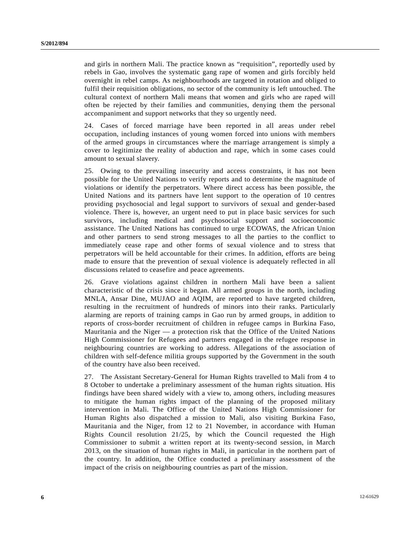and girls in northern Mali. The practice known as "requisition", reportedly used by rebels in Gao, involves the systematic gang rape of women and girls forcibly held overnight in rebel camps. As neighbourhoods are targeted in rotation and obliged to fulfil their requisition obligations, no sector of the community is left untouched. The cultural context of northern Mali means that women and girls who are raped will often be rejected by their families and communities, denying them the personal accompaniment and support networks that they so urgently need.

24. Cases of forced marriage have been reported in all areas under rebel occupation, including instances of young women forced into unions with members of the armed groups in circumstances where the marriage arrangement is simply a cover to legitimize the reality of abduction and rape, which in some cases could amount to sexual slavery.

25. Owing to the prevailing insecurity and access constraints, it has not been possible for the United Nations to verify reports and to determine the magnitude of violations or identify the perpetrators. Where direct access has been possible, the United Nations and its partners have lent support to the operation of 10 centres providing psychosocial and legal support to survivors of sexual and gender-based violence. There is, however, an urgent need to put in place basic services for such survivors, including medical and psychosocial support and socioeconomic assistance. The United Nations has continued to urge ECOWAS, the African Union and other partners to send strong messages to all the parties to the conflict to immediately cease rape and other forms of sexual violence and to stress that perpetrators will be held accountable for their crimes. In addition, efforts are being made to ensure that the prevention of sexual violence is adequately reflected in all discussions related to ceasefire and peace agreements.

26. Grave violations against children in northern Mali have been a salient characteristic of the crisis since it began. All armed groups in the north, including MNLA, Ansar Dine, MUJAO and AQIM, are reported to have targeted children, resulting in the recruitment of hundreds of minors into their ranks. Particularly alarming are reports of training camps in Gao run by armed groups, in addition to reports of cross-border recruitment of children in refugee camps in Burkina Faso, Mauritania and the Niger — a protection risk that the Office of the United Nations High Commissioner for Refugees and partners engaged in the refugee response in neighbouring countries are working to address. Allegations of the association of children with self-defence militia groups supported by the Government in the south of the country have also been received.

27. The Assistant Secretary-General for Human Rights travelled to Mali from 4 to 8 October to undertake a preliminary assessment of the human rights situation. His findings have been shared widely with a view to, among others, including measures to mitigate the human rights impact of the planning of the proposed military intervention in Mali. The Office of the United Nations High Commissioner for Human Rights also dispatched a mission to Mali, also visiting Burkina Faso, Mauritania and the Niger, from 12 to 21 November, in accordance with Human Rights Council resolution  $21/25$ , by which the Council requested the High Commissioner to submit a written report at its twenty-second session, in March 2013, on the situation of human rights in Mali, in particular in the northern part of the country. In addition, the Office conducted a preliminary assessment of the impact of the crisis on neighbouring countries as part of the mission.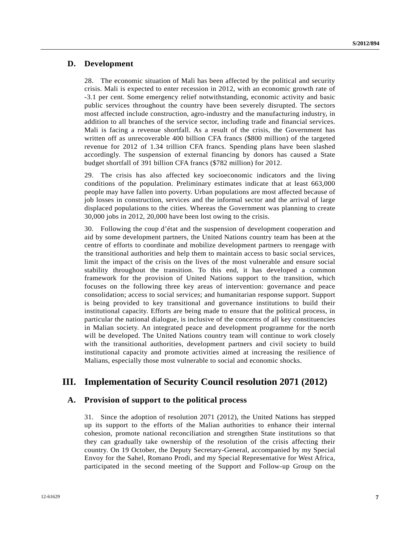## **D. Development**

28. The economic situation of Mali has been affected by the political and security crisis. Mali is expected to enter recession in 2012, with an economic growth rate of -3.1 per cent. Some emergency relief notwithstanding, economic activity and basic public services throughout the country have been severely disrupted. The sectors most affected include construction, agro-industry and the manufacturing industry, in addition to all branches of the service sector, including trade and financial services. Mali is facing a revenue shortfall. As a result of the crisis, the Government has written off as unrecoverable 400 billion CFA francs (\$800 million) of the targeted revenue for 2012 of 1.34 trillion CFA francs. Spending plans have been slashed accordingly. The suspension of external financing by donors has caused a State budget shortfall of 391 billion CFA francs (\$782 million) for 2012.

29. The crisis has also affected key socioeconomic indicators and the living conditions of the population. Preliminary estimates indicate that at least 663,000 people may have fallen into poverty. Urban populations are most affected because of job losses in construction, services and the informal sector and the arrival of large displaced populations to the cities. Whereas the Government was planning to create 30,000 jobs in 2012, 20,000 have been lost owing to the crisis.

30. Following the coup d'état and the suspension of development cooperation and aid by some development partners, the United Nations country team has been at the centre of efforts to coordinate and mobilize development partners to reengage with the transitional authorities and help them to maintain access to basic social services, limit the impact of the crisis on the lives of the most vulnerable and ensure social stability throughout the transition. To this end, it has developed a common framework for the provision of United Nations support to the transition, which focuses on the following three key areas of intervention: governance and peace consolidation; access to social services; and humanitarian response support. Support is being provided to key transitional and governance institutions to build their institutional capacity. Efforts are being made to ensure that the political process, in particular the national dialogue, is inclusive of the concerns of all key constituencies in Malian society. An integrated peace and development programme for the north will be developed. The United Nations country team will continue to work closely with the transitional authorities, development partners and civil society to build institutional capacity and promote activities aimed at increasing the resilience of Malians, especially those most vulnerable to social and economic shocks.

## **III. Implementation of Security Council resolution 2071 (2012)**

## **A. Provision of support to the political process**

31. Since the adoption of resolution 2071 (2012), the United Nations has stepped up its support to the efforts of the Malian authorities to enhance their internal cohesion, promote national reconciliation and strengthen State institutions so that they can gradually take ownership of the resolution of the crisis affecting their country. On 19 October, the Deputy Secretary-General, accompanied by my Special Envoy for the Sahel, Romano Prodi, and my Special Representative for West Africa, participated in the second meeting of the Support and Follow-up Group on the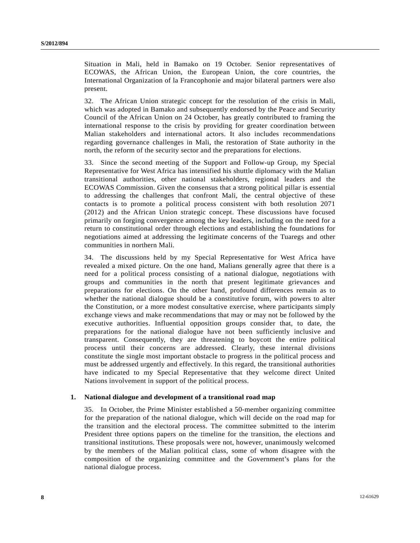Situation in Mali, held in Bamako on 19 October. Senior representatives of ECOWAS, the African Union, the European Union, the core countries, the International Organization of la Francophonie and major bilateral partners were also present.

32. The African Union strategic concept for the resolution of the crisis in Mali, which was adopted in Bamako and subsequently endorsed by the Peace and Security Council of the African Union on 24 October, has greatly contributed to framing the international response to the crisis by providing for greater coordination between Malian stakeholders and international actors. It also includes recommendations regarding governance challenges in Mali, the restoration of State authority in the north, the reform of the security sector and the preparations for elections.

33. Since the second meeting of the Support and Follow-up Group, my Special Representative for West Africa has intensified his shuttle diplomacy with the Malian transitional authorities, other national stakeholders, regional leaders and the ECOWAS Commission. Given the consensus that a strong political pillar is essential to addressing the challenges that confront Mali, the central objective of these contacts is to promote a political process consistent with both resolution 2071 (2012) and the African Union strategic concept. These discussions have focused primarily on forging convergence among the key leaders, including on the need for a return to constitutional order through elections and establishing the foundations for negotiations aimed at addressing the legitimate concerns of the Tuaregs and other communities in northern Mali.

34. The discussions held by my Special Representative for West Africa have revealed a mixed picture. On the one hand, Malians generally agree that there is a need for a political process consisting of a national dialogue, negotiations with groups and communities in the north that present legitimate grievances and preparations for elections. On the other hand, profound differences remain as to whether the national dialogue should be a constitutive forum, with powers to alter the Constitution, or a more modest consultative exercise, where participants simply exchange views and make recommendations that may or may not be followed by the executive authorities. Influential opposition groups consider that, to date, the preparations for the national dialogue have not been sufficiently inclusive and transparent. Consequently, they are threatening to boycott the entire political process until their concerns are addressed. Clearly, these internal divisions constitute the single most important obstacle to progress in the political process and must be addressed urgently and effectively. In this regard, the transitional authorities have indicated to my Special Representative that they welcome direct United Nations involvement in support of the political process.

#### **1. National dialogue and development of a transitional road map**

35. In October, the Prime Minister established a 50-member organizing committee for the preparation of the national dialogue, which will decide on the road map for the transition and the electoral process. The committee submitted to the interim President three options papers on the timeline for the transition, the elections and transitional institutions. These proposals were not, however, unanimously welcomed by the members of the Malian political class, some of whom disagree with the composition of the organizing committee and the Government's plans for the national dialogue process.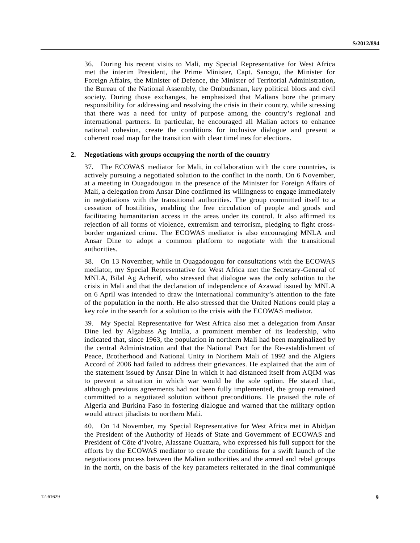36. During his recent visits to Mali, my Special Representative for West Africa met the interim President, the Prime Minister, Capt. Sanogo, the Minister for Foreign Affairs, the Minister of Defence, the Minister of Territorial Administration, the Bureau of the National Assembly, the Ombudsman, key political blocs and civil society. During those exchanges, he emphasized that Malians bore the primary responsibility for addressing and resolving the crisis in their country, while stressing that there was a need for unity of purpose among the country's regional and international partners. In particular, he encouraged all Malian actors to enhance national cohesion, create the conditions for inclusive dialogue and present a coherent road map for the transition with clear timelines for elections.

#### **2. Negotiations with groups occupying the north of the country**

37. The ECOWAS mediator for Mali, in collaboration with the core countries, is actively pursuing a negotiated solution to the conflict in the north. On 6 November, at a meeting in Ouagadougou in the presence of the Minister for Foreign Affairs of Mali, a delegation from Ansar Dine confirmed its willingness to engage immediately in negotiations with the transitional authorities. The group committed itself to a cessation of hostilities, enabling the free circulation of people and goods and facilitating humanitarian access in the areas under its control. It also affirmed its rejection of all forms of violence, extremism and terrorism, pledging to fight crossborder organized crime. The ECOWAS mediator is also encouraging MNLA and Ansar Dine to adopt a common platform to negotiate with the transitional authorities.

38. On 13 November, while in Ouagadougou for consultations with the ECOWAS mediator, my Special Representative for West Africa met the Secretary-General of MNLA, Bilal Ag Acherif, who stressed that dialogue was the only solution to the crisis in Mali and that the declaration of independence of Azawad issued by MNLA on 6 April was intended to draw the international community's attention to the fate of the population in the north. He also stressed that the United Nations could play a key role in the search for a solution to the crisis with the ECOWAS mediator.

39. My Special Representative for West Africa also met a delegation from Ansar Dine led by Algabass Ag Intalla, a prominent member of its leadership, who indicated that, since 1963, the population in northern Mali had been marginalized by the central Administration and that the National Pact for the Re-establishment of Peace, Brotherhood and National Unity in Northern Mali of 1992 and the Algiers Accord of 2006 had failed to address their grievances. He explained that the aim of the statement issued by Ansar Dine in which it had distanced itself from AQIM was to prevent a situation in which war would be the sole option. He stated that, although previous agreements had not been fully implemented, the group remained committed to a negotiated solution without preconditions. He praised the role of Algeria and Burkina Faso in fostering dialogue and warned that the military option would attract jihadists to northern Mali.

40. On 14 November, my Special Representative for West Africa met in Abidjan the President of the Authority of Heads of State and Government of ECOWAS and President of Côte d'Ivoire, Alassane Ouattara, who expressed his full support for the efforts by the ECOWAS mediator to create the conditions for a swift launch of the negotiations process between the Malian authorities and the armed and rebel groups in the north, on the basis of the key parameters reiterated in the final communiqué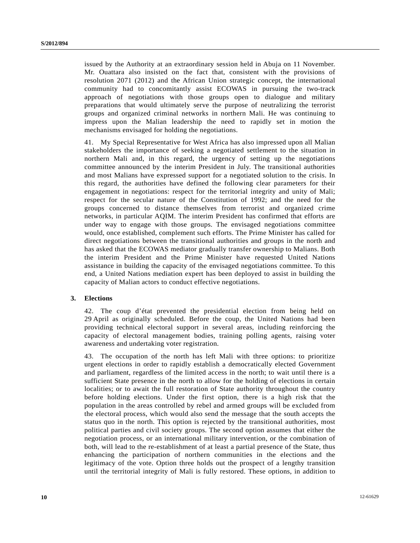issued by the Authority at an extraordinary session held in Abuja on 11 November. Mr. Ouattara also insisted on the fact that, consistent with the provisions of resolution 2071 (2012) and the African Union strategic concept, the international community had to concomitantly assist ECOWAS in pursuing the two-track approach of negotiations with those groups open to dialogue and military preparations that would ultimately serve the purpose of neutralizing the terrorist groups and organized criminal networks in northern Mali. He was continuing to impress upon the Malian leadership the need to rapidly set in motion the mechanisms envisaged for holding the negotiations.

41. My Special Representative for West Africa has also impressed upon all Malian stakeholders the importance of seeking a negotiated settlement to the situation in northern Mali and, in this regard, the urgency of setting up the negotiations committee announced by the interim President in July. The transitional authorities and most Malians have expressed support for a negotiated solution to the crisis. In this regard, the authorities have defined the following clear parameters for their engagement in negotiations: respect for the territorial integrity and unity of Mali; respect for the secular nature of the Constitution of 1992; and the need for the groups concerned to distance themselves from terrorist and organized crime networks, in particular AQIM. The interim President has confirmed that efforts are under way to engage with those groups. The envisaged negotiations committee would, once established, complement such efforts. The Prime Minister has called for direct negotiations between the transitional authorities and groups in the north and has asked that the ECOWAS mediator gradually transfer ownership to Malians. Both the interim President and the Prime Minister have requested United Nations assistance in building the capacity of the envisaged negotiations committee. To this end, a United Nations mediation expert has been deployed to assist in building the capacity of Malian actors to conduct effective negotiations.

#### **3. Elections**

42. The coup d'état prevented the presidential election from being held on 29 April as originally scheduled. Before the coup, the United Nations had been providing technical electoral support in several areas, including reinforcing the capacity of electoral management bodies, training polling agents, raising voter awareness and undertaking voter registration.

43. The occupation of the north has left Mali with three options: to prioritize urgent elections in order to rapidly establish a democratically elected Government and parliament, regardless of the limited access in the north; to wait until there is a sufficient State presence in the north to allow for the holding of elections in certain localities; or to await the full restoration of State authority throughout the country before holding elections. Under the first option, there is a high risk that the population in the areas controlled by rebel and armed groups will be excluded from the electoral process, which would also send the message that the south accepts the status quo in the north. This option is rejected by the transitional authorities, most political parties and civil society groups. The second option assumes that either the negotiation process, or an international military intervention, or the combination of both, will lead to the re-establishment of at least a partial presence of the State, thus enhancing the participation of northern communities in the elections and the legitimacy of the vote. Option three holds out the prospect of a lengthy transition until the territorial integrity of Mali is fully restored. These options, in addition to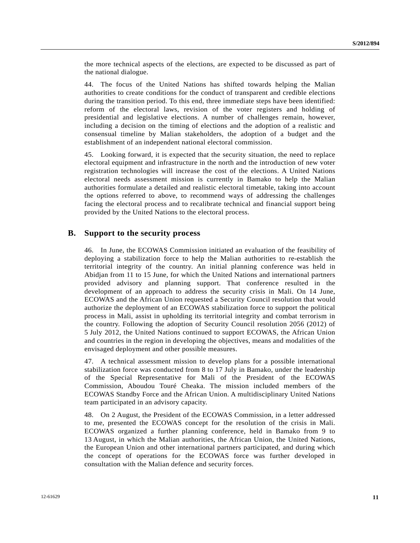the more technical aspects of the elections, are expected to be discussed as part of the national dialogue.

44. The focus of the United Nations has shifted towards helping the Malian authorities to create conditions for the conduct of transparent and credible elections during the transition period. To this end, three immediate steps have been identified: reform of the electoral laws, revision of the voter registers and holding of presidential and legislative elections. A number of challenges remain, however, including a decision on the timing of elections and the adoption of a realistic and consensual timeline by Malian stakeholders, the adoption of a budget and the establishment of an independent national electoral commission.

45. Looking forward, it is expected that the security situation, the need to replace electoral equipment and infrastructure in the north and the introduction of new voter registration technologies will increase the cost of the elections. A United Nations electoral needs assessment mission is currently in Bamako to help the Malian authorities formulate a detailed and realistic electoral timetable, taking into account the options referred to above, to recommend ways of addressing the challenges facing the electoral process and to recalibrate technical and financial support being provided by the United Nations to the electoral process.

### **B. Support to the security process**

46. In June, the ECOWAS Commission initiated an evaluation of the feasibility of deploying a stabilization force to help the Malian authorities to re-establish the territorial integrity of the country. An initial planning conference was held in Abidjan from 11 to 15 June, for which the United Nations and international partners provided advisory and planning support. That conference resulted in the development of an approach to address the security crisis in Mali. On 14 June, ECOWAS and the African Union requested a Security Council resolution that would authorize the deployment of an ECOWAS stabilization force to support the political process in Mali, assist in upholding its territorial integrity and combat terrorism in the country. Following the adoption of Security Council resolution 2056 (2012) of 5 July 2012, the United Nations continued to support ECOWAS, the African Union and countries in the region in developing the objectives, means and modalities of the envisaged deployment and other possible measures.

47. A technical assessment mission to develop plans for a possible international stabilization force was conducted from 8 to 17 July in Bamako, under the leadership of the Special Representative for Mali of the President of the ECOWAS Commission, Aboudou Touré Cheaka. The mission included members of the ECOWAS Standby Force and the African Union. A multidisciplinary United Nations team participated in an advisory capacity.

48. On 2 August, the President of the ECOWAS Commission, in a letter addressed to me, presented the ECOWAS concept for the resolution of the crisis in Mali. ECOWAS organized a further planning conference, held in Bamako from 9 to 13 August, in which the Malian authorities, the African Union, the United Nations, the European Union and other international partners participated, and during which the concept of operations for the ECOWAS force was further developed in consultation with the Malian defence and security forces.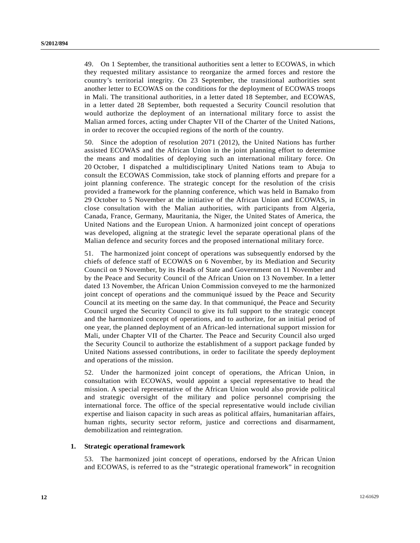49. On 1 September, the transitional authorities sent a letter to ECOWAS, in which they requested military assistance to reorganize the armed forces and restore the country's territorial integrity. On 23 September, the transitional authorities sent another letter to ECOWAS on the conditions for the deployment of ECOWAS troops in Mali. The transitional authorities, in a letter dated 18 September, and ECOWAS, in a letter dated 28 September, both requested a Security Council resolution that would authorize the deployment of an international military force to assist the Malian armed forces, acting under Chapter VII of the Charter of the United Nations, in order to recover the occupied regions of the north of the country.

50. Since the adoption of resolution 2071 (2012), the United Nations has further assisted ECOWAS and the African Union in the joint planning effort to determine the means and modalities of deploying such an international military force. On 20 October, I dispatched a multidisciplinary United Nations team to Abuja to consult the ECOWAS Commission, take stock of planning efforts and prepare for a joint planning conference. The strategic concept for the resolution of the crisis provided a framework for the planning conference, which was held in Bamako from 29 October to 5 November at the initiative of the African Union and ECOWAS, in close consultation with the Malian authorities, with participants from Algeria, Canada, France, Germany, Mauritania, the Niger, the United States of America, the United Nations and the European Union. A harmonized joint concept of operations was developed, aligning at the strategic level the separate operational plans of the Malian defence and security forces and the proposed international military force.

51. The harmonized joint concept of operations was subsequently endorsed by the chiefs of defence staff of ECOWAS on 6 November, by its Mediation and Security Council on 9 November, by its Heads of State and Government on 11 November and by the Peace and Security Council of the African Union on 13 November. In a letter dated 13 November, the African Union Commission conveyed to me the harmonized joint concept of operations and the communiqué issued by the Peace and Security Council at its meeting on the same day. In that communiqué, the Peace and Security Council urged the Security Council to give its full support to the strategic concept and the harmonized concept of operations, and to authorize, for an initial period of one year, the planned deployment of an African-led international support mission for Mali, under Chapter VII of the Charter. The Peace and Security Council also urged the Security Council to authorize the establishment of a support package funded by United Nations assessed contributions, in order to facilitate the speedy deployment and operations of the mission.

52. Under the harmonized joint concept of operations, the African Union, in consultation with ECOWAS, would appoint a special representative to head the mission. A special representative of the African Union would also provide political and strategic oversight of the military and police personnel comprising the international force. The office of the special representative would include civilian expertise and liaison capacity in such areas as political affairs, humanitarian affairs, human rights, security sector reform, justice and corrections and disarmament, demobilization and reintegration.

#### **1. Strategic operational framework**

53. The harmonized joint concept of operations, endorsed by the African Union and ECOWAS, is referred to as the "strategic operational framework" in recognition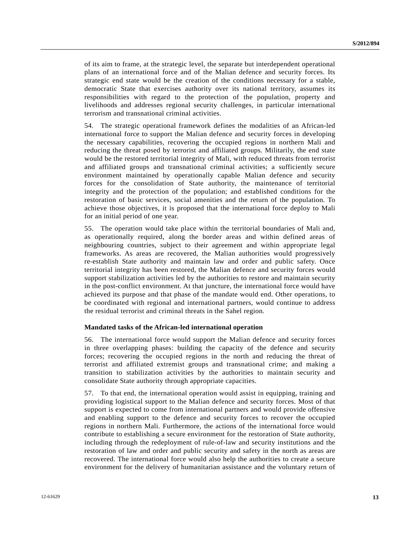of its aim to frame, at the strategic level, the separate but interdependent operational plans of an international force and of the Malian defence and security forces. Its strategic end state would be the creation of the conditions necessary for a stable, democratic State that exercises authority over its national territory, assumes its responsibilities with regard to the protection of the population, property and livelihoods and addresses regional security challenges, in particular international terrorism and transnational criminal activities.

54. The strategic operational framework defines the modalities of an African-led international force to support the Malian defence and security forces in developing the necessary capabilities, recovering the occupied regions in northern Mali and reducing the threat posed by terrorist and affiliated groups. Militarily, the end state would be the restored territorial integrity of Mali, with reduced threats from terrorist and affiliated groups and transnational criminal activities; a sufficiently secure environment maintained by operationally capable Malian defence and security forces for the consolidation of State authority, the maintenance of territorial integrity and the protection of the population; and established conditions for the restoration of basic services, social amenities and the return of the population. To achieve those objectives, it is proposed that the international force deploy to Mali for an initial period of one year.

55. The operation would take place within the territorial boundaries of Mali and, as operationally required, along the border areas and within defined areas of neighbouring countries, subject to their agreement and within appropriate legal frameworks. As areas are recovered, the Malian authorities would progressively re-establish State authority and maintain law and order and public safety. Once territorial integrity has been restored, the Malian defence and security forces would support stabilization activities led by the authorities to restore and maintain security in the post-conflict environment. At that juncture, the international force would have achieved its purpose and that phase of the mandate would end. Other operations, to be coordinated with regional and international partners, would continue to address the residual terrorist and criminal threats in the Sahel region.

#### **Mandated tasks of the African-led international operation**

56. The international force would support the Malian defence and security forces in three overlapping phases: building the capacity of the defence and security forces; recovering the occupied regions in the north and reducing the threat of terrorist and affiliated extremist groups and transnational crime; and making a transition to stabilization activities by the authorities to maintain security and consolidate State authority through appropriate capacities.

57. To that end, the international operation would assist in equipping, training and providing logistical support to the Malian defence and security forces. Most of that support is expected to come from international partners and would provide offensive and enabling support to the defence and security forces to recover the occupied regions in northern Mali. Furthermore, the actions of the international force would contribute to establishing a secure environment for the restoration of State authority, including through the redeployment of rule-of-law and security institutions and the restoration of law and order and public security and safety in the north as areas are recovered. The international force would also help the authorities to create a secure environment for the delivery of humanitarian assistance and the voluntary return of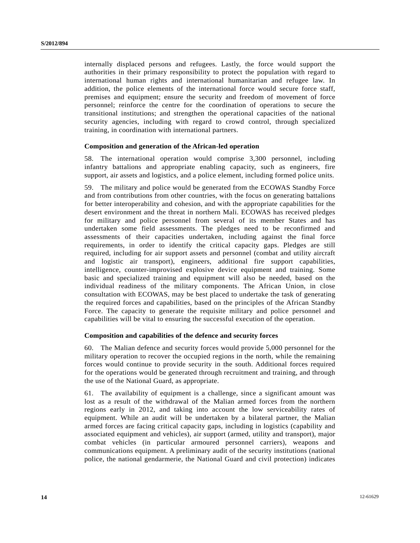internally displaced persons and refugees. Lastly, the force would support the authorities in their primary responsibility to protect the population with regard to international human rights and international humanitarian and refugee law. In addition, the police elements of the international force would secure force staff, premises and equipment; ensure the security and freedom of movement of force personnel; reinforce the centre for the coordination of operations to secure the transitional institutions; and strengthen the operational capacities of the national security agencies, including with regard to crowd control, through specialized training, in coordination with international partners.

#### **Composition and generation of the African-led operation**

58. The international operation would comprise 3,300 personnel, including infantry battalions and appropriate enabling capacity, such as engineers, fire support, air assets and logistics, and a police element, including formed police units.

59. The military and police would be generated from the ECOWAS Standby Force and from contributions from other countries, with the focus on generating battalions for better interoperability and cohesion, and with the appropriate capabilities for the desert environment and the threat in northern Mali. ECOWAS has received pledges for military and police personnel from several of its member States and has undertaken some field assessments. The pledges need to be reconfirmed and assessments of their capacities undertaken, including against the final force requirements, in order to identify the critical capacity gaps. Pledges are still required, including for air support assets and personnel (combat and utility aircraft and logistic air transport), engineers, additional fire support capabilities, intelligence, counter-improvised explosive device equipment and training. Some basic and specialized training and equipment will also be needed, based on the individual readiness of the military components. The African Union, in close consultation with ECOWAS, may be best placed to undertake the task of generating the required forces and capabilities, based on the principles of the African Standby Force. The capacity to generate the requisite military and police personnel and capabilities will be vital to ensuring the successful execution of the operation.

#### **Composition and capabilities of the defence and security forces**

60. The Malian defence and security forces would provide 5,000 personnel for the military operation to recover the occupied regions in the north, while the remaining forces would continue to provide security in the south. Additional forces required for the operations would be generated through recruitment and training, and through the use of the National Guard, as appropriate.

61. The availability of equipment is a challenge, since a significant amount was lost as a result of the withdrawal of the Malian armed forces from the northern regions early in 2012, and taking into account the low serviceability rates of equipment. While an audit will be undertaken by a bilateral partner, the Malian armed forces are facing critical capacity gaps, including in logistics (capability and associated equipment and vehicles), air support (armed, utility and transport), major combat vehicles (in particular armoured personnel carriers), weapons and communications equipment. A preliminary audit of the security institutions (national police, the national gendarmerie, the National Guard and civil protection) indicates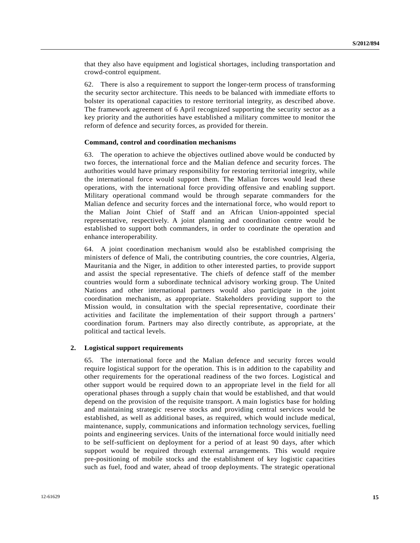that they also have equipment and logistical shortages, including transportation and crowd-control equipment.

62. There is also a requirement to support the longer-term process of transforming the security sector architecture. This needs to be balanced with immediate efforts to bolster its operational capacities to restore territorial integrity, as described above. The framework agreement of 6 April recognized supporting the security sector as a key priority and the authorities have established a military committee to monitor the reform of defence and security forces, as provided for therein.

#### **Command, control and coordination mechanisms**

63. The operation to achieve the objectives outlined above would be conducted by two forces, the international force and the Malian defence and security forces. The authorities would have primary responsibility for restoring territorial integrity, while the international force would support them. The Malian forces would lead these operations, with the international force providing offensive and enabling support. Military operational command would be through separate commanders for the Malian defence and security forces and the international force, who would report to the Malian Joint Chief of Staff and an African Union-appointed special representative, respectively. A joint planning and coordination centre would be established to support both commanders, in order to coordinate the operation and enhance interoperability.

64. A joint coordination mechanism would also be established comprising the ministers of defence of Mali, the contributing countries, the core countries, Algeria, Mauritania and the Niger, in addition to other interested parties, to provide support and assist the special representative. The chiefs of defence staff of the member countries would form a subordinate technical advisory working group. The United Nations and other international partners would also participate in the joint coordination mechanism, as appropriate. Stakeholders providing support to the Mission would, in consultation with the special representative, coordinate their activities and facilitate the implementation of their support through a partners' coordination forum. Partners may also directly contribute, as appropriate, at the political and tactical levels.

#### **2. Logistical support requirements**

65. The international force and the Malian defence and security forces would require logistical support for the operation. This is in addition to the capability and other requirements for the operational readiness of the two forces. Logistical and other support would be required down to an appropriate level in the field for all operational phases through a supply chain that would be established, and that would depend on the provision of the requisite transport. A main logistics base for holding and maintaining strategic reserve stocks and providing central services would be established, as well as additional bases, as required, which would include medical, maintenance, supply, communications and information technology services, fuelling points and engineering services. Units of the international force would initially need to be self-sufficient on deployment for a period of at least 90 days, after which support would be required through external arrangements. This would require pre-positioning of mobile stocks and the establishment of key logistic capacities such as fuel, food and water, ahead of troop deployments. The strategic operational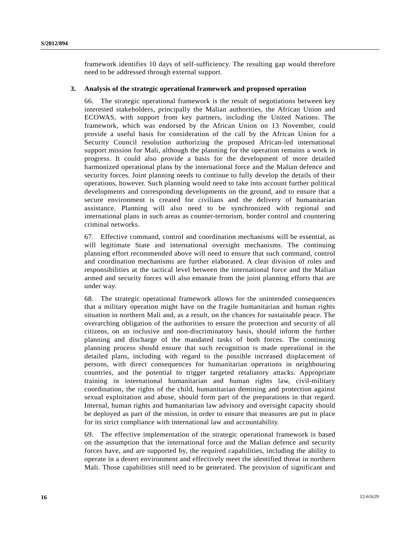framework identifies 10 days of self-sufficiency. The resulting gap would therefore need to be addressed through external support.

#### **3. Analysis of the strategic operational framework and proposed operation**

66. The strategic operational framework is the result of negotiations between key interested stakeholders, principally the Malian authorities, the African Union and ECOWAS, with support from key partners, including the United Nations. The framework, which was endorsed by the African Union on 13 November, could provide a useful basis for consideration of the call by the African Union for a Security Council resolution authorizing the proposed African-led international support mission for Mali, although the planning for the operation remains a work in progress. It could also provide a basis for the development of more detailed harmonized operational plans by the international force and the Malian defence and security forces. Joint planning needs to continue to fully develop the details of their operations, however. Such planning would need to take into account further political developments and corresponding developments on the ground, and to ensure that a secure environment is created for civilians and the delivery of humanitarian assistance. Planning will also need to be synchronized with regional and international plans in such areas as counter-terrorism, border control and countering criminal networks.

67. Effective command, control and coordination mechanisms will be essential, as will legitimate State and international oversight mechanisms. The continuing planning effort recommended above will need to ensure that such command, control and coordination mechanisms are further elaborated. A clear division of roles and responsibilities at the tactical level between the international force and the Malian armed and security forces will also emanate from the joint planning efforts that are under way.

68. The strategic operational framework allows for the unintended consequences that a military operation might have on the fragile humanitarian and human rights situation in northern Mali and, as a result, on the chances for sustainable peace. The overarching obligation of the authorities to ensure the protection and security of all citizens, on an inclusive and non-discriminatory basis, should inform the further planning and discharge of the mandated tasks of both forces. The continuing planning process should ensure that such recognition is made operational in the detailed plans, including with regard to the possible increased displacement of persons, with direct consequences for humanitarian operations in neighbouring countries, and the potential to trigger targeted retaliatory attacks. Appropriate training in international humanitarian and human rights law, civil-military coordination, the rights of the child, humanitarian demining and protection against sexual exploitation and abuse, should form part of the preparations in that regard. Internal, human rights and humanitarian law advisory and oversight capacity should be deployed as part of the mission, in order to ensure that measures are put in place for its strict compliance with international law and accountability.

69. The effective implementation of the strategic operational framework is based on the assumption that the international force and the Malian defence and security forces have, and are supported by, the required capabilities, including the ability to operate in a desert environment and effectively meet the identified threat in northern Mali. Those capabilities still need to be generated. The provision of significant and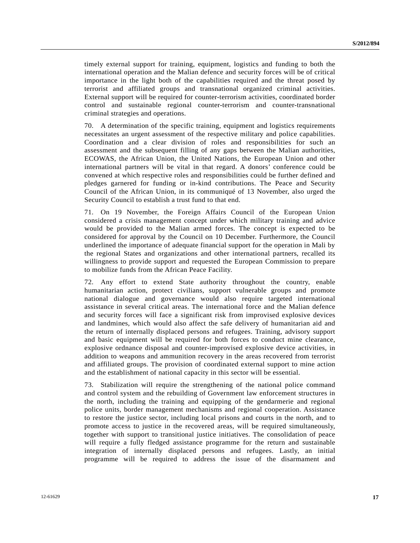timely external support for training, equipment, logistics and funding to both the international operation and the Malian defence and security forces will be of critical importance in the light both of the capabilities required and the threat posed by terrorist and affiliated groups and transnational organized criminal activities. External support will be required for counter-terrorism activities, coordinated border control and sustainable regional counter-terrorism and counter-transnational criminal strategies and operations.

70. A determination of the specific training, equipment and logistics requirements necessitates an urgent assessment of the respective military and police capabilities. Coordination and a clear division of roles and responsibilities for such an assessment and the subsequent filling of any gaps between the Malian authorities, ECOWAS, the African Union, the United Nations, the European Union and other international partners will be vital in that regard. A donors' conference could be convened at which respective roles and responsibilities could be further defined and pledges garnered for funding or in-kind contributions. The Peace and Security Council of the African Union, in its communiqué of 13 November, also urged the Security Council to establish a trust fund to that end.

71. On 19 November, the Foreign Affairs Council of the European Union considered a crisis management concept under which military training and advice would be provided to the Malian armed forces. The concept is expected to be considered for approval by the Council on 10 December. Furthermore, the Council underlined the importance of adequate financial support for the operation in Mali by the regional States and organizations and other international partners, recalled its willingness to provide support and requested the European Commission to prepare to mobilize funds from the African Peace Facility.

72. Any effort to extend State authority throughout the country, enable humanitarian action, protect civilians, support vulnerable groups and promote national dialogue and governance would also require targeted international assistance in several critical areas. The international force and the Malian defence and security forces will face a significant risk from improvised explosive devices and landmines, which would also affect the safe delivery of humanitarian aid and the return of internally displaced persons and refugees. Training, advisory support and basic equipment will be required for both forces to conduct mine clearance, explosive ordnance disposal and counter-improvised explosive device activities, in addition to weapons and ammunition recovery in the areas recovered from terrorist and affiliated groups. The provision of coordinated external support to mine action and the establishment of national capacity in this sector will be essential.

73. Stabilization will require the strengthening of the national police command and control system and the rebuilding of Government law enforcement structures in the north, including the training and equipping of the gendarmerie and regional police units, border management mechanisms and regional cooperation. Assistance to restore the justice sector, including local prisons and courts in the north, and to promote access to justice in the recovered areas, will be required simultaneously, together with support to transitional justice initiatives. The consolidation of peace will require a fully fledged assistance programme for the return and sustainable integration of internally displaced persons and refugees. Lastly, an initial programme will be required to address the issue of the disarmament and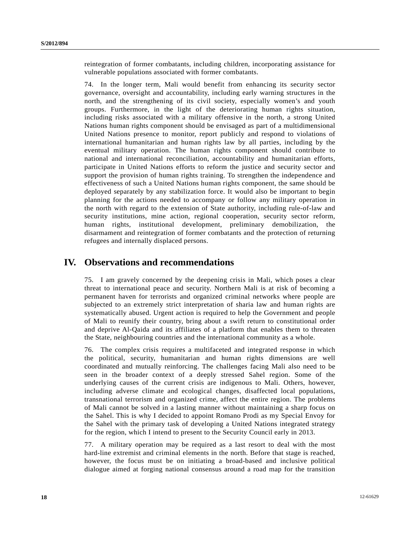reintegration of former combatants, including children, incorporating assistance for vulnerable populations associated with former combatants.

74. In the longer term, Mali would benefit from enhancing its security sector governance, oversight and accountability, including early warning structures in the north, and the strengthening of its civil society, especially women's and youth groups. Furthermore, in the light of the deteriorating human rights situation, including risks associated with a military offensive in the north, a strong United Nations human rights component should be envisaged as part of a multidimensional United Nations presence to monitor, report publicly and respond to violations of international humanitarian and human rights law by all parties, including by the eventual military operation. The human rights component should contribute to national and international reconciliation, accountability and humanitarian efforts, participate in United Nations efforts to reform the justice and security sector and support the provision of human rights training. To strengthen the independence and effectiveness of such a United Nations human rights component, the same should be deployed separately by any stabilization force. It would also be important to begin planning for the actions needed to accompany or follow any military operation in the north with regard to the extension of State authority, including rule-of-law and security institutions, mine action, regional cooperation, security sector reform, human rights, institutional development, preliminary demobilization, the disarmament and reintegration of former combatants and the protection of returning refugees and internally displaced persons.

## **IV. Observations and recommendations**

75. I am gravely concerned by the deepening crisis in Mali, which poses a clear threat to international peace and security. Northern Mali is at risk of becoming a permanent haven for terrorists and organized criminal networks where people are subjected to an extremely strict interpretation of sharia law and human rights are systematically abused. Urgent action is required to help the Government and people of Mali to reunify their country, bring about a swift return to constitutional order and deprive Al-Qaida and its affiliates of a platform that enables them to threaten the State, neighbouring countries and the international community as a whole.

76. The complex crisis requires a multifaceted and integrated response in which the political, security, humanitarian and human rights dimensions are well coordinated and mutually reinforcing. The challenges facing Mali also need to be seen in the broader context of a deeply stressed Sahel region. Some of the underlying causes of the current crisis are indigenous to Mali. Others, however, including adverse climate and ecological changes, disaffected local populations, transnational terrorism and organized crime, affect the entire region. The problems of Mali cannot be solved in a lasting manner without maintaining a sharp focus on the Sahel. This is why I decided to appoint Romano Prodi as my Special Envoy for the Sahel with the primary task of developing a United Nations integrated strategy for the region, which I intend to present to the Security Council early in 2013.

77. A military operation may be required as a last resort to deal with the most hard-line extremist and criminal elements in the north. Before that stage is reached, however, the focus must be on initiating a broad-based and inclusive political dialogue aimed at forging national consensus around a road map for the transition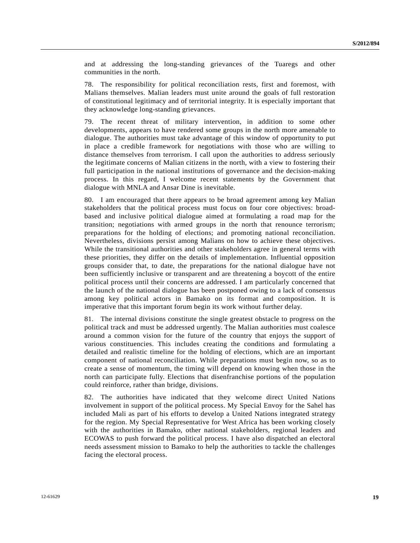and at addressing the long-standing grievances of the Tuaregs and other communities in the north.

78. The responsibility for political reconciliation rests, first and foremost, with Malians themselves. Malian leaders must unite around the goals of full restoration of constitutional legitimacy and of territorial integrity. It is especially important that they acknowledge long-standing grievances.

79. The recent threat of military intervention, in addition to some other developments, appears to have rendered some groups in the north more amenable to dialogue. The authorities must take advantage of this window of opportunity to put in place a credible framework for negotiations with those who are willing to distance themselves from terrorism. I call upon the authorities to address seriously the legitimate concerns of Malian citizens in the north, with a view to fostering their full participation in the national institutions of governance and the decision-making process. In this regard, I welcome recent statements by the Government that dialogue with MNLA and Ansar Dine is inevitable.

80. I am encouraged that there appears to be broad agreement among key Malian stakeholders that the political process must focus on four core objectives: broadbased and inclusive political dialogue aimed at formulating a road map for the transition; negotiations with armed groups in the north that renounce terrorism; preparations for the holding of elections; and promoting national reconciliation. Nevertheless, divisions persist among Malians on how to achieve these objectives. While the transitional authorities and other stakeholders agree in general terms with these priorities, they differ on the details of implementation. Influential opposition groups consider that, to date, the preparations for the national dialogue have not been sufficiently inclusive or transparent and are threatening a boycott of the entire political process until their concerns are addressed. I am particularly concerned that the launch of the national dialogue has been postponed owing to a lack of consensus among key political actors in Bamako on its format and composition. It is imperative that this important forum begin its work without further delay.

81. The internal divisions constitute the single greatest obstacle to progress on the political track and must be addressed urgently. The Malian authorities must coalesce around a common vision for the future of the country that enjoys the support of various constituencies. This includes creating the conditions and formulating a detailed and realistic timeline for the holding of elections, which are an important component of national reconciliation. While preparations must begin now, so as to create a sense of momentum, the timing will depend on knowing when those in the north can participate fully. Elections that disenfranchise portions of the population could reinforce, rather than bridge, divisions.

82. The authorities have indicated that they welcome direct United Nations involvement in support of the political process. My Special Envoy for the Sahel has included Mali as part of his efforts to develop a United Nations integrated strategy for the region. My Special Representative for West Africa has been working closely with the authorities in Bamako, other national stakeholders, regional leaders and ECOWAS to push forward the political process. I have also dispatched an electoral needs assessment mission to Bamako to help the authorities to tackle the challenges facing the electoral process.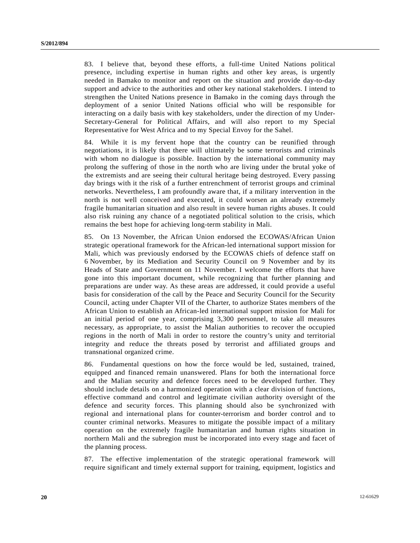83. I believe that, beyond these efforts, a full-time United Nations political presence, including expertise in human rights and other key areas, is urgently needed in Bamako to monitor and report on the situation and provide day-to-day support and advice to the authorities and other key national stakeholders. I intend to strengthen the United Nations presence in Bamako in the coming days through the deployment of a senior United Nations official who will be responsible for interacting on a daily basis with key stakeholders, under the direction of my Under-Secretary-General for Political Affairs, and will also report to my Special Representative for West Africa and to my Special Envoy for the Sahel.

84. While it is my fervent hope that the country can be reunified through negotiations, it is likely that there will ultimately be some terrorists and criminals with whom no dialogue is possible. Inaction by the international community may prolong the suffering of those in the north who are living under the brutal yoke of the extremists and are seeing their cultural heritage being destroyed. Every passing day brings with it the risk of a further entrenchment of terrorist groups and criminal networks. Nevertheless, I am profoundly aware that, if a military intervention in the north is not well conceived and executed, it could worsen an already extremely fragile humanitarian situation and also result in severe human rights abuses. It could also risk ruining any chance of a negotiated political solution to the crisis, which remains the best hope for achieving long-term stability in Mali.

85. On 13 November, the African Union endorsed the ECOWAS/African Union strategic operational framework for the African-led international support mission for Mali, which was previously endorsed by the ECOWAS chiefs of defence staff on 6 November, by its Mediation and Security Council on 9 November and by its Heads of State and Government on 11 November. I welcome the efforts that have gone into this important document, while recognizing that further planning and preparations are under way. As these areas are addressed, it could provide a useful basis for consideration of the call by the Peace and Security Council for the Security Council, acting under Chapter VII of the Charter, to authorize States members of the African Union to establish an African-led international support mission for Mali for an initial period of one year, comprising 3,300 personnel, to take all measures necessary, as appropriate, to assist the Malian authorities to recover the occupied regions in the north of Mali in order to restore the country's unity and territorial integrity and reduce the threats posed by terrorist and affiliated groups and transnational organized crime.

86. Fundamental questions on how the force would be led, sustained, trained, equipped and financed remain unanswered. Plans for both the international force and the Malian security and defence forces need to be developed further. They should include details on a harmonized operation with a clear division of functions, effective command and control and legitimate civilian authority oversight of the defence and security forces. This planning should also be synchronized with regional and international plans for counter-terrorism and border control and to counter criminal networks. Measures to mitigate the possible impact of a military operation on the extremely fragile humanitarian and human rights situation in northern Mali and the subregion must be incorporated into every stage and facet of the planning process.

87. The effective implementation of the strategic operational framework will require significant and timely external support for training, equipment, logistics and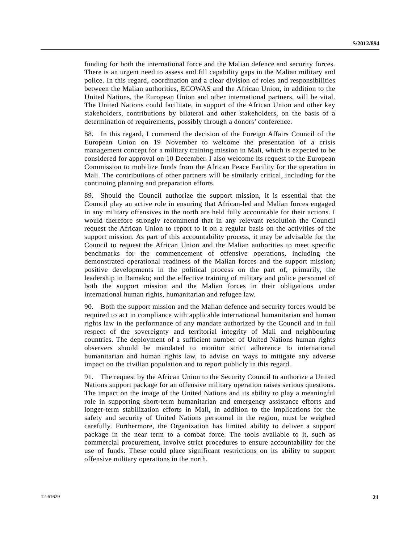funding for both the international force and the Malian defence and security forces. There is an urgent need to assess and fill capability gaps in the Malian military and police. In this regard, coordination and a clear division of roles and responsibilities between the Malian authorities, ECOWAS and the African Union, in addition to the United Nations, the European Union and other international partners, will be vital. The United Nations could facilitate, in support of the African Union and other key stakeholders, contributions by bilateral and other stakeholders, on the basis of a determination of requirements, possibly through a donors' conference.

88. In this regard, I commend the decision of the Foreign Affairs Council of the European Union on 19 November to welcome the presentation of a crisis management concept for a military training mission in Mali, which is expected to be considered for approval on 10 December. I also welcome its request to the European Commission to mobilize funds from the African Peace Facility for the operation in Mali. The contributions of other partners will be similarly critical, including for the continuing planning and preparation efforts.

89. Should the Council authorize the support mission, it is essential that the Council play an active role in ensuring that African-led and Malian forces engaged in any military offensives in the north are held fully accountable for their actions. I would therefore strongly recommend that in any relevant resolution the Council request the African Union to report to it on a regular basis on the activities of the support mission. As part of this accountability process, it may be advisable for the Council to request the African Union and the Malian authorities to meet specific benchmarks for the commencement of offensive operations, including the demonstrated operational readiness of the Malian forces and the support mission; positive developments in the political process on the part of, primarily, the leadership in Bamako; and the effective training of military and police personnel of both the support mission and the Malian forces in their obligations under international human rights, humanitarian and refugee law.

90. Both the support mission and the Malian defence and security forces would be required to act in compliance with applicable international humanitarian and human rights law in the performance of any mandate authorized by the Council and in full respect of the sovereignty and territorial integrity of Mali and neighbouring countries. The deployment of a sufficient number of United Nations human rights observers should be mandated to monitor strict adherence to international humanitarian and human rights law, to advise on ways to mitigate any adverse impact on the civilian population and to report publicly in this regard.

91. The request by the African Union to the Security Council to authorize a United Nations support package for an offensive military operation raises serious questions. The impact on the image of the United Nations and its ability to play a meaningful role in supporting short-term humanitarian and emergency assistance efforts and longer-term stabilization efforts in Mali, in addition to the implications for the safety and security of United Nations personnel in the region, must be weighed carefully. Furthermore, the Organization has limited ability to deliver a support package in the near term to a combat force. The tools available to it, such as commercial procurement, involve strict procedures to ensure accountability for the use of funds. These could place significant restrictions on its ability to support offensive military operations in the north.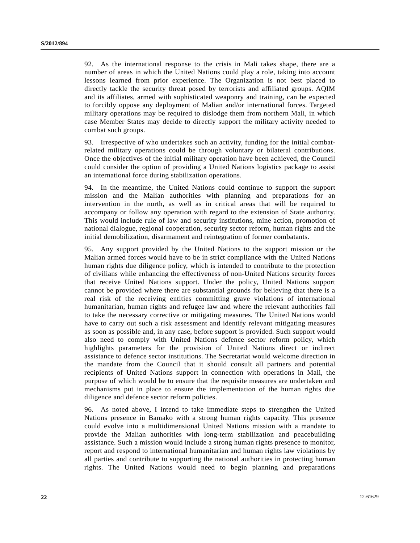92. As the international response to the crisis in Mali takes shape, there are a number of areas in which the United Nations could play a role, taking into account lessons learned from prior experience. The Organization is not best placed to directly tackle the security threat posed by terrorists and affiliated groups. AQIM and its affiliates, armed with sophisticated weaponry and training, can be expected to forcibly oppose any deployment of Malian and/or international forces. Targeted military operations may be required to dislodge them from northern Mali, in which case Member States may decide to directly support the military activity needed to combat such groups.

93. Irrespective of who undertakes such an activity, funding for the initial combatrelated military operations could be through voluntary or bilateral contributions. Once the objectives of the initial military operation have been achieved, the Council could consider the option of providing a United Nations logistics package to assist an international force during stabilization operations.

94. In the meantime, the United Nations could continue to support the support mission and the Malian authorities with planning and preparations for an intervention in the north, as well as in critical areas that will be required to accompany or follow any operation with regard to the extension of State authority. This would include rule of law and security institutions, mine action, promotion of national dialogue, regional cooperation, security sector reform, human rights and the initial demobilization, disarmament and reintegration of former combatants.

95. Any support provided by the United Nations to the support mission or the Malian armed forces would have to be in strict compliance with the United Nations human rights due diligence policy, which is intended to contribute to the protection of civilians while enhancing the effectiveness of non-United Nations security forces that receive United Nations support. Under the policy, United Nations support cannot be provided where there are substantial grounds for believing that there is a real risk of the receiving entities committing grave violations of international humanitarian, human rights and refugee law and where the relevant authorities fail to take the necessary corrective or mitigating measures. The United Nations would have to carry out such a risk assessment and identify relevant mitigating measures as soon as possible and, in any case, before support is provided. Such support would also need to comply with United Nations defence sector reform policy, which highlights parameters for the provision of United Nations direct or indirect assistance to defence sector institutions. The Secretariat would welcome direction in the mandate from the Council that it should consult all partners and potential recipients of United Nations support in connection with operations in Mali, the purpose of which would be to ensure that the requisite measures are undertaken and mechanisms put in place to ensure the implementation of the human rights due diligence and defence sector reform policies.

96. As noted above, I intend to take immediate steps to strengthen the United Nations presence in Bamako with a strong human rights capacity. This presence could evolve into a multidimensional United Nations mission with a mandate to provide the Malian authorities with long-term stabilization and peacebuilding assistance. Such a mission would include a strong human rights presence to monitor, report and respond to international humanitarian and human rights law violations by all parties and contribute to supporting the national authorities in protecting human rights. The United Nations would need to begin planning and preparations